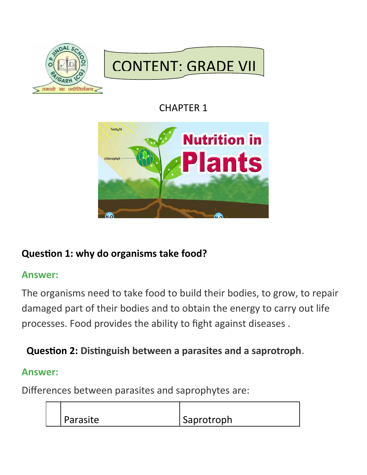

CHAPTER 1



# **Question 1: why do organisms take food?**

## **Answer:**

The organisms need to take food to build their bodies, to grow, to repair damaged part of their bodies and to obtain the energy to carry out life processes. Food provides the ability to fight against diseases .

# **Question 2: Distinguish between a parasites and a saprotroph**.

#### **Answer:**

Differences between parasites and saprophytes are:

| Parasite | Saprotroph |
|----------|------------|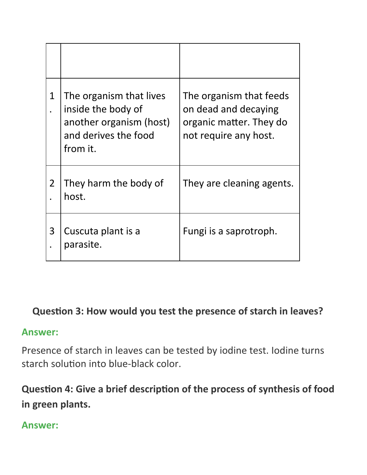| 1              | The organism that lives<br>inside the body of<br>another organism (host)<br>and derives the food<br>from it. | The organism that feeds<br>on dead and decaying<br>organic matter. They do<br>not require any host. |
|----------------|--------------------------------------------------------------------------------------------------------------|-----------------------------------------------------------------------------------------------------|
| $\overline{2}$ | They harm the body of<br>host.                                                                               | They are cleaning agents.                                                                           |
| 3              | Cuscuta plant is a<br>parasite.                                                                              | Fungi is a saprotroph.                                                                              |

# **Question 3: How would you test the presence of starch in leaves?**

#### **Answer:**

Presence of starch in leaves can be tested by iodine test. Iodine turns starch solution into blue-black color.

**Question 4: Give a brief description of the process of synthesis of food in green plants.**

## **Answer:**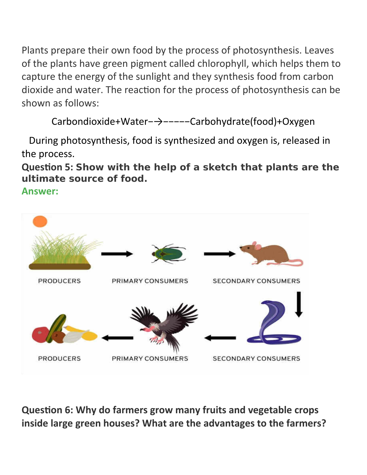Plants prepare their own food by the process of photosynthesis. Leaves of the plants have green pigment called chlorophyll, which helps them to capture the energy of the sunlight and they synthesis food from carbon dioxide and water. The reaction for the process of photosynthesis can be shown as follows:

Carbondioxide+Water−→−−−−−Carbohydrate(food)+Oxygen

 During photosynthesis, food is synthesized and oxygen is, released in the process.

**Question 5: Show with the help of a sketch that plants are the ultimate source of food.**

**Answer:**



**Question 6: Why do farmers grow many fruits and vegetable crops inside large green houses? What are the advantages to the farmers?**